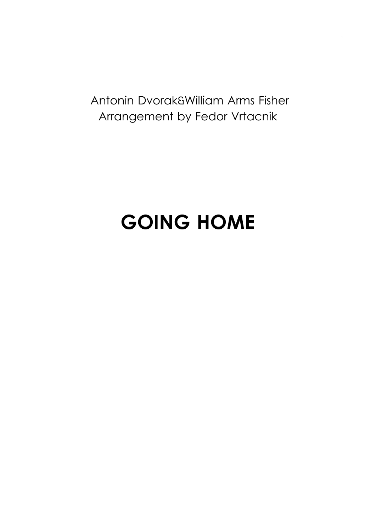Antonin Dvorak&William Arms Fisher Arrangement by Fedor Vrtacnik

## **GOING HOME**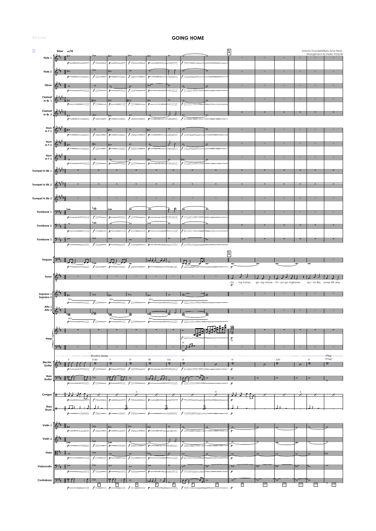Full Score 2

## GOING HOME